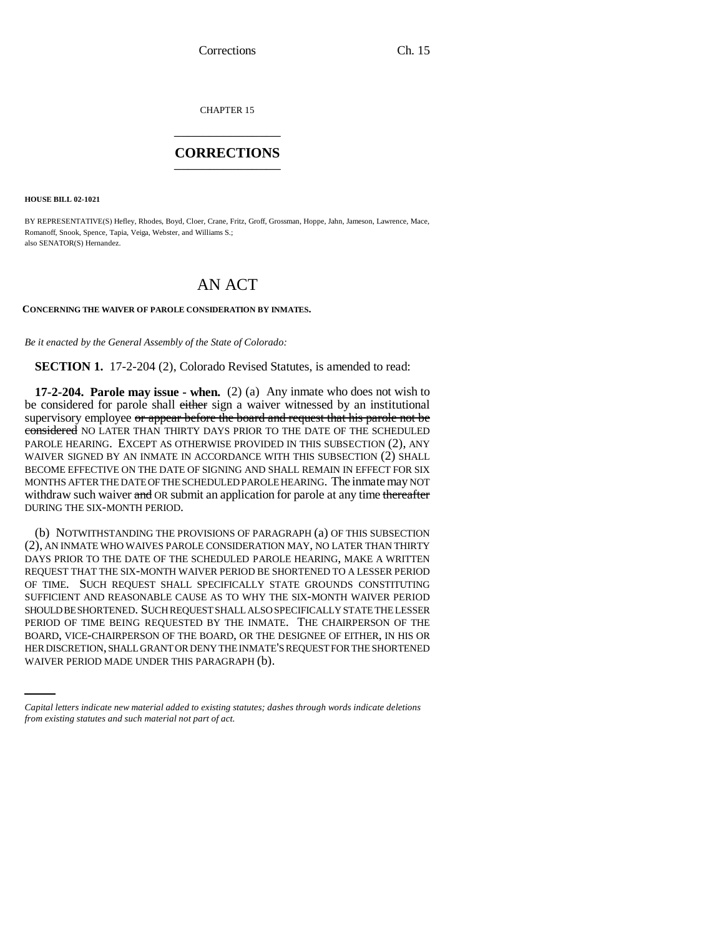Corrections Ch. 15

CHAPTER 15 \_\_\_\_\_\_\_\_\_\_\_\_\_\_\_

## **CORRECTIONS** \_\_\_\_\_\_\_\_\_\_\_\_\_\_\_

**HOUSE BILL 02-1021**

BY REPRESENTATIVE(S) Hefley, Rhodes, Boyd, Cloer, Crane, Fritz, Groff, Grossman, Hoppe, Jahn, Jameson, Lawrence, Mace, Romanoff, Snook, Spence, Tapia, Veiga, Webster, and Williams S.; also SENATOR(S) Hernandez.

## AN ACT

## **CONCERNING THE WAIVER OF PAROLE CONSIDERATION BY INMATES.**

*Be it enacted by the General Assembly of the State of Colorado:*

**SECTION 1.** 17-2-204 (2), Colorado Revised Statutes, is amended to read:

**17-2-204. Parole may issue - when.** (2) (a) Any inmate who does not wish to be considered for parole shall either sign a waiver witnessed by an institutional supervisory employee or appear before the board and request that his parole not be considered NO LATER THAN THIRTY DAYS PRIOR TO THE DATE OF THE SCHEDULED PAROLE HEARING. EXCEPT AS OTHERWISE PROVIDED IN THIS SUBSECTION (2), ANY WAIVER SIGNED BY AN INMATE IN ACCORDANCE WITH THIS SUBSECTION (2) SHALL BECOME EFFECTIVE ON THE DATE OF SIGNING AND SHALL REMAIN IN EFFECT FOR SIX MONTHS AFTER THE DATE OF THE SCHEDULED PAROLE HEARING. The inmate may NOT withdraw such waiver and OR submit an application for parole at any time thereafter DURING THE SIX-MONTH PERIOD.

BOARD, VICE-CHAIRPERSON OF THE BOARD, OR THE DESIGNEE OF EITHER, IN HIS OR (b) NOTWITHSTANDING THE PROVISIONS OF PARAGRAPH (a) OF THIS SUBSECTION (2), AN INMATE WHO WAIVES PAROLE CONSIDERATION MAY, NO LATER THAN THIRTY DAYS PRIOR TO THE DATE OF THE SCHEDULED PAROLE HEARING, MAKE A WRITTEN REQUEST THAT THE SIX-MONTH WAIVER PERIOD BE SHORTENED TO A LESSER PERIOD OF TIME. SUCH REQUEST SHALL SPECIFICALLY STATE GROUNDS CONSTITUTING SUFFICIENT AND REASONABLE CAUSE AS TO WHY THE SIX-MONTH WAIVER PERIOD SHOULD BE SHORTENED. SUCH REQUEST SHALL ALSO SPECIFICALLY STATE THE LESSER PERIOD OF TIME BEING REQUESTED BY THE INMATE. THE CHAIRPERSON OF THE HER DISCRETION, SHALL GRANT OR DENY THE INMATE'S REQUEST FOR THE SHORTENED WAIVER PERIOD MADE UNDER THIS PARAGRAPH (b).

*Capital letters indicate new material added to existing statutes; dashes through words indicate deletions from existing statutes and such material not part of act.*